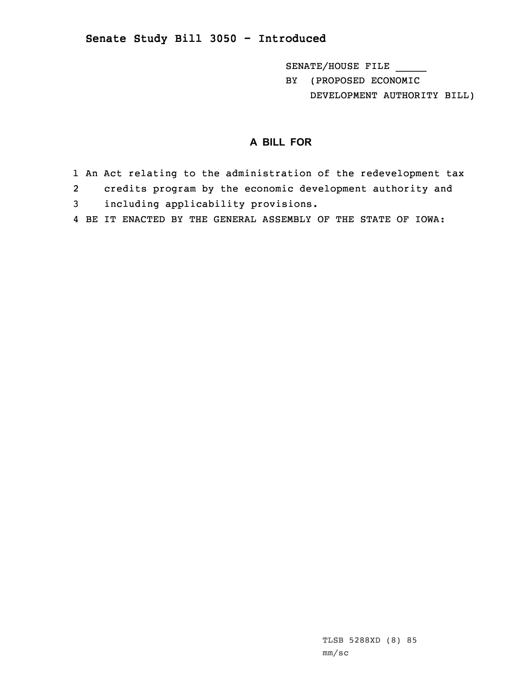## **Senate Study Bill 3050 - Introduced**

SENATE/HOUSE FILE \_\_\_\_\_ BY (PROPOSED ECONOMIC DEVELOPMENT AUTHORITY BILL)

## **A BILL FOR**

- 1 An Act relating to the administration of the redevelopment tax
- 2credits program by the economic development authority and
- 3 including applicability provisions.
- 4 BE IT ENACTED BY THE GENERAL ASSEMBLY OF THE STATE OF IOWA: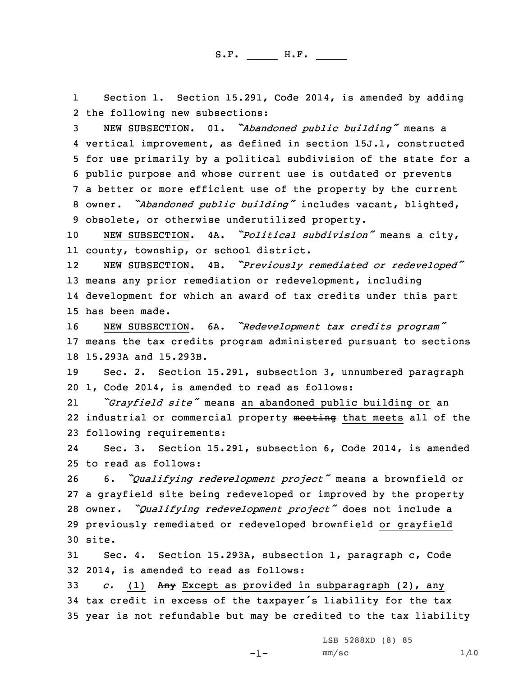1 Section 1. Section 15.291, Code 2014, is amended by adding 2 the following new subsections:

 NEW SUBSECTION. 01. *"Abandoned public building"* means <sup>a</sup> vertical improvement, as defined in section 15J.1, constructed for use primarily by <sup>a</sup> political subdivision of the state for <sup>a</sup> public purpose and whose current use is outdated or prevents <sup>a</sup> better or more efficient use of the property by the current owner. *"Abandoned public building"* includes vacant, blighted, obsolete, or otherwise underutilized property.

<sup>10</sup> NEW SUBSECTION. 4A. *"Political subdivision"* means <sup>a</sup> city, 11 county, township, or school district.

12 NEW SUBSECTION. 4B. *"Previously remediated or redeveloped"* 13 means any prior remediation or redevelopment, including 14 development for which an award of tax credits under this part 15 has been made.

<sup>16</sup> NEW SUBSECTION. 6A. *"Redevelopment tax credits program"* 17 means the tax credits program administered pursuant to sections 18 15.293A and 15.293B.

19 Sec. 2. Section 15.291, subsection 3, unnumbered paragraph 20 1, Code 2014, is amended to read as follows:

21 *"Grayfield site"* means an abandoned public building or an 22 industrial or commercial property meeting that meets all of the 23 following requirements:

24 Sec. 3. Section 15.291, subsection 6, Code 2014, is amended 25 to read as follows:

 6. *"Qualifying redevelopment project"* means <sup>a</sup> brownfield or <sup>a</sup> grayfield site being redeveloped or improved by the property owner. *"Qualifying redevelopment project"* does not include <sup>a</sup> previously remediated or redeveloped brownfield or grayfield 30 site.

31 Sec. 4. Section 15.293A, subsection 1, paragraph c, Code 32 2014, is amended to read as follows:

33 *c.* (1) Any Except as provided in subparagraph (2), any <sup>34</sup> tax credit in excess of the taxpayer's liability for the tax 35 year is not refundable but may be credited to the tax liability

LSB 5288XD (8) 85

-1-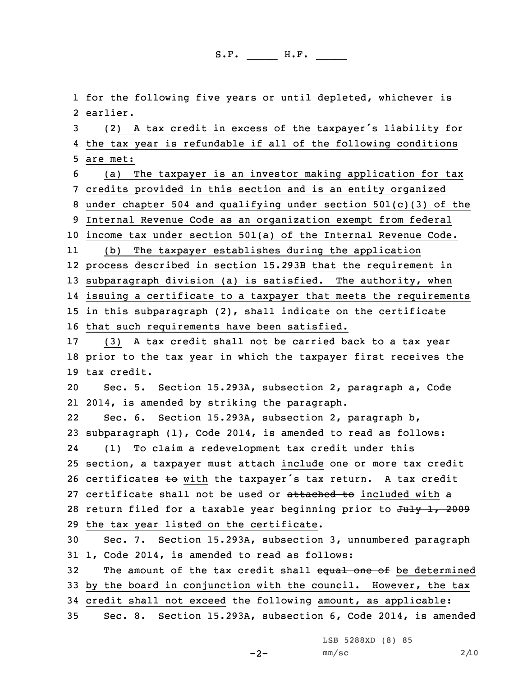1 for the following five years or until depleted, whichever is 2 earlier.

<sup>3</sup> (2) <sup>A</sup> tax credit in excess of the taxpayer's liability for 4 the tax year is refundable if all of the following conditions 5 are met:

 (a) The taxpayer is an investor making application for tax credits provided in this section and is an entity organized under chapter 504 and qualifying under section 501(c)(3) of the Internal Revenue Code as an organization exempt from federal income tax under section 501(a) of the Internal Revenue Code.

11 (b) The taxpayer establishes during the application process described in section 15.293B that the requirement in subparagraph division (a) is satisfied. The authority, when issuing <sup>a</sup> certificate to <sup>a</sup> taxpayer that meets the requirements in this subparagraph (2), shall indicate on the certificate

16 that such requirements have been satisfied.

17 (3) <sup>A</sup> tax credit shall not be carried back to <sup>a</sup> tax year 18 prior to the tax year in which the taxpayer first receives the 19 tax credit.

20 Sec. 5. Section 15.293A, subsection 2, paragraph a, Code 21 2014, is amended by striking the paragraph.

22 Sec. 6. Section 15.293A, subsection 2, paragraph b, 23 subparagraph (1), Code 2014, is amended to read as follows: 24 (1) To claim <sup>a</sup> redevelopment tax credit under this 25 section, a taxpayer must attach include one or more tax credit 26 certificates to with the taxpayer's tax return. A tax credit 27 certificate shall not be used or attached to included with a 28 return filed for a taxable year beginning prior to  $J^2$ , 2009 29 the tax year listed on the certificate.

30 Sec. 7. Section 15.293A, subsection 3, unnumbered paragraph 31 1, Code 2014, is amended to read as follows:

32 The amount of the tax credit shall equal one of be determined 33 by the board in conjunction with the council. However, the tax 34 credit shall not exceed the following amount, as applicable:

35 Sec. 8. Section 15.293A, subsection 6, Code 2014, is amended

LSB 5288XD (8) 85

 $-2-$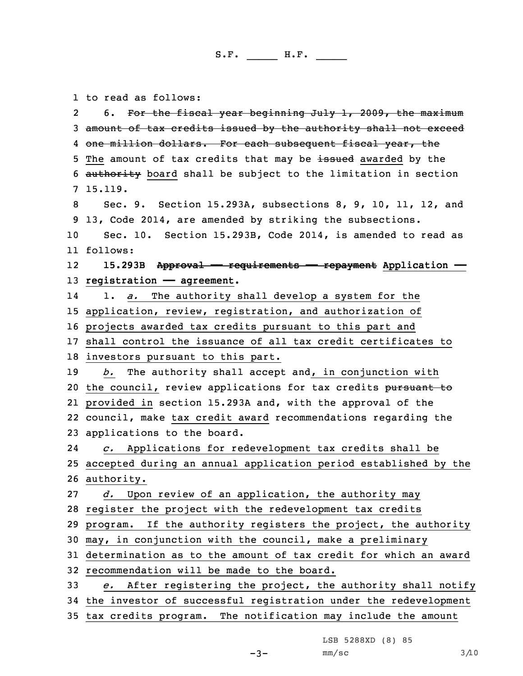1 to read as follows:

2 6. For the fiscal year beginning July 1, 2009, the maximum amount of tax credits issued by the authority shall not exceed 4 <del>one million dollars. For each subsequent fiscal year, the</del> 5 The amount of tax credits that may be issued awarded by the 6 authority board shall be subject to the limitation in section 7 15.119. Sec. 9. Section 15.293A, subsections 8, 9, 10, 11, 12, and 13, Code 2014, are amended by striking the subsections. Sec. 10. Section 15.293B, Code 2014, is amended to read as 11 follows: 12 **15.293B Approval —— requirements —— repayment Application —— registration — agreement**. 14 1. *a.* The authority shall develop <sup>a</sup> system for the application, review, registration, and authorization of projects awarded tax credits pursuant to this part and shall control the issuance of all tax credit certificates to investors pursuant to this part. *b.* The authority shall accept and, in conjunction with 20 the council, review applications for tax credits pursuant to provided in section 15.293A and, with the approval of the council, make tax credit award recommendations regarding the applications to the board. 24 *c.* Applications for redevelopment tax credits shall be accepted during an annual application period established by the authority. *d.* Upon review of an application, the authority may register the project with the redevelopment tax credits program. If the authority registers the project, the authority may, in conjunction with the council, make <sup>a</sup> preliminary determination as to the amount of tax credit for which an award recommendation will be made to the board. *e.* After registering the project, the authority shall notify the investor of successful registration under the redevelopment tax credits program. The notification may include the amount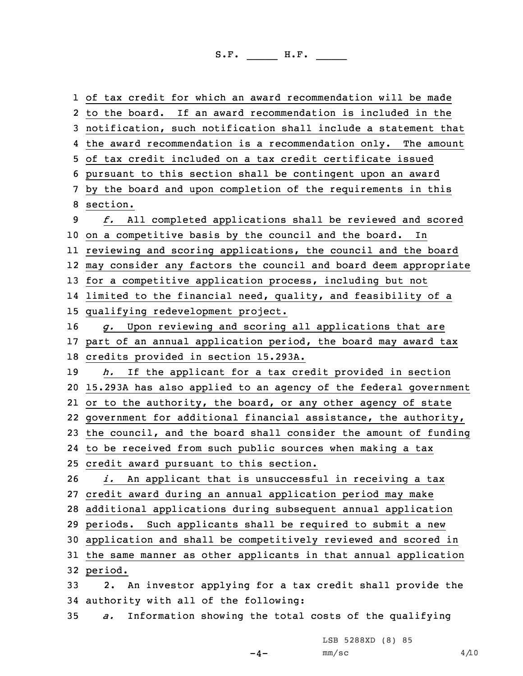of tax credit for which an award recommendation will be made to the board. If an award recommendation is included in the notification, such notification shall include <sup>a</sup> statement that the award recommendation is <sup>a</sup> recommendation only. The amount of tax credit included on <sup>a</sup> tax credit certificate issued pursuant to this section shall be contingent upon an award by the board and upon completion of the requirements in this 8 section. *f.* All completed applications shall be reviewed and scored on <sup>a</sup> competitive basis by the council and the board. In reviewing and scoring applications, the council and the board may consider any factors the council and board deem appropriate for <sup>a</sup> competitive application process, including but not limited to the financial need, quality, and feasibility of <sup>a</sup> qualifying redevelopment project. *g.* Upon reviewing and scoring all applications that are part of an annual application period, the board may award tax credits provided in section 15.293A. *h.* If the applicant for <sup>a</sup> tax credit provided in section 15.293A has also applied to an agency of the federal government or to the authority, the board, or any other agency of state government for additional financial assistance, the authority, the council, and the board shall consider the amount of funding to be received from such public sources when making <sup>a</sup> tax credit award pursuant to this section. *i.* An applicant that is unsuccessful in receiving <sup>a</sup> tax credit award during an annual application period may make additional applications during subsequent annual application periods. Such applicants shall be required to submit <sup>a</sup> new application and shall be competitively reviewed and scored in the same manner as other applicants in that annual application 32 period. 2. An investor applying for <sup>a</sup> tax credit shall provide the authority with all of the following: *a.* Information showing the total costs of the qualifying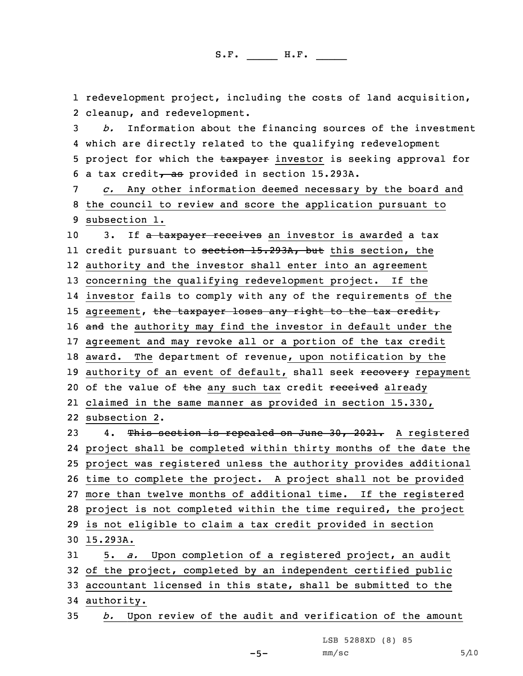1 redevelopment project, including the costs of land acquisition, 2 cleanup, and redevelopment.

3 *b.* Information about the financing sources of the investment 4 which are directly related to the qualifying redevelopment 5 project for which the taxpayer investor is seeking approval for 6 a tax credit $\frac{1}{6}$  as provided in section 15.293A.

7 *c.* Any other information deemed necessary by the board and 8 the council to review and score the application pursuant to 9 subsection 1.

10 3. If a taxpayer receives an investor is awarded a tax 11 credit pursuant to <del>section 15.293A, but</del> this section, the 12 authority and the investor shall enter into an agreement 13 concerning the qualifying redevelopment project. If the 14 investor fails to comply with any of the requirements of the 15 agreement, the taxpayer loses any right to the tax credit, 16 and the authority may find the investor in default under the 17 agreement and may revoke all or <sup>a</sup> portion of the tax credit 18 award. The department of revenue, upon notification by the 19 authority of an event of default, shall seek recovery repayment 20 of the value of the any such tax credit received already 21 claimed in the same manner as provided in section 15.330, 22 subsection 2.

23 4. This section is repealed on June 30, 2021. A reqistered project shall be completed within thirty months of the date the project was registered unless the authority provides additional time to complete the project. <sup>A</sup> project shall not be provided more than twelve months of additional time. If the registered project is not completed within the time required, the project is not eligible to claim <sup>a</sup> tax credit provided in section 30 15.293A. 5. *a.* Upon completion of <sup>a</sup> registered project, an audit

32 of the project, completed by an independent certified public 33 accountant licensed in this state, shall be submitted to the 34 authority.

35 *b.* Upon review of the audit and verification of the amount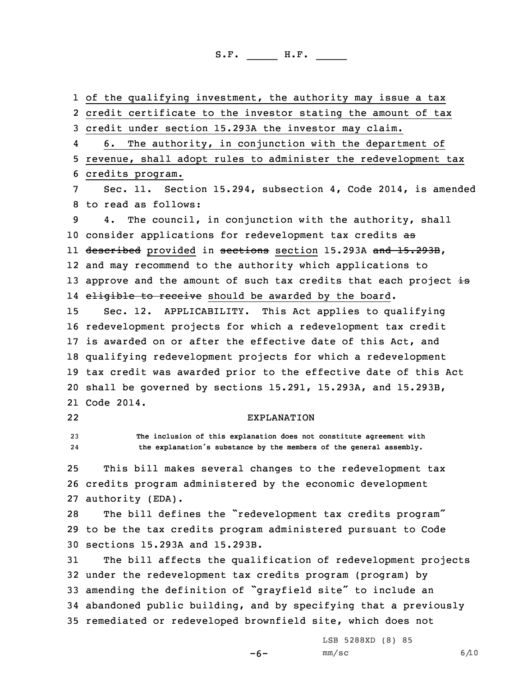of the qualifying investment, the authority may issue <sup>a</sup> tax credit certificate to the investor stating the amount of tax credit under section 15.293A the investor may claim. 4 6. The authority, in conjunction with the department of revenue, shall adopt rules to administer the redevelopment tax credits program. Sec. 11. Section 15.294, subsection 4, Code 2014, is amended to read as follows: 4. The council, in conjunction with the authority, shall 10 consider applications for redevelopment tax credits as ll <del>described</del> provided in <del>sections</del> section 15.293A <del>and 15.293B</del>, and may recommend to the authority which applications to 13 approve and the amount of such tax credits that each project  $\pm s$ 14 <del>eligible to receive</del> should be awarded by the board. Sec. 12. APPLICABILITY. This Act applies to qualifying redevelopment projects for which <sup>a</sup> redevelopment tax credit is awarded on or after the effective date of this Act, and qualifying redevelopment projects for which <sup>a</sup> redevelopment tax credit was awarded prior to the effective date of this Act shall be governed by sections 15.291, 15.293A, and 15.293B, Code 2014. 22 EXPLANATION **The inclusion of this explanation does not constitute agreement with** 24 **the explanation's substance by the members of the general assembly.** This bill makes several changes to the redevelopment tax credits program administered by the economic development authority (EDA). The bill defines the "redevelopment tax credits program" to be the tax credits program administered pursuant to Code sections 15.293A and 15.293B. The bill affects the qualification of redevelopment projects under the redevelopment tax credits program (program) by amending the definition of "grayfield site" to include an abandoned public building, and by specifying that <sup>a</sup> previously remediated or redeveloped brownfield site, which does not LSB 5288XD (8) 85

 $-6-$ 

 $mm/sc$  6/10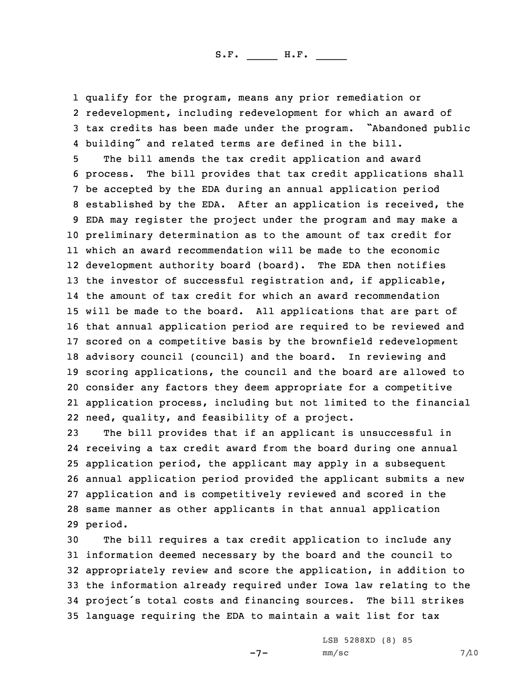qualify for the program, means any prior remediation or redevelopment, including redevelopment for which an award of tax credits has been made under the program. "Abandoned public building" and related terms are defined in the bill.

 The bill amends the tax credit application and award process. The bill provides that tax credit applications shall be accepted by the EDA during an annual application period established by the EDA. After an application is received, the EDA may register the project under the program and may make <sup>a</sup> preliminary determination as to the amount of tax credit for which an award recommendation will be made to the economic development authority board (board). The EDA then notifies 13 the investor of successful registration and, if applicable, the amount of tax credit for which an award recommendation will be made to the board. All applications that are part of that annual application period are required to be reviewed and scored on <sup>a</sup> competitive basis by the brownfield redevelopment advisory council (council) and the board. In reviewing and scoring applications, the council and the board are allowed to consider any factors they deem appropriate for <sup>a</sup> competitive application process, including but not limited to the financial need, quality, and feasibility of <sup>a</sup> project.

 The bill provides that if an applicant is unsuccessful in receiving <sup>a</sup> tax credit award from the board during one annual application period, the applicant may apply in <sup>a</sup> subsequent annual application period provided the applicant submits <sup>a</sup> new application and is competitively reviewed and scored in the same manner as other applicants in that annual application 29 period.

 The bill requires <sup>a</sup> tax credit application to include any information deemed necessary by the board and the council to appropriately review and score the application, in addition to the information already required under Iowa law relating to the project's total costs and financing sources. The bill strikes language requiring the EDA to maintain <sup>a</sup> wait list for tax

 $-7-$ 

LSB 5288XD (8) 85  $mm/sc$  7/10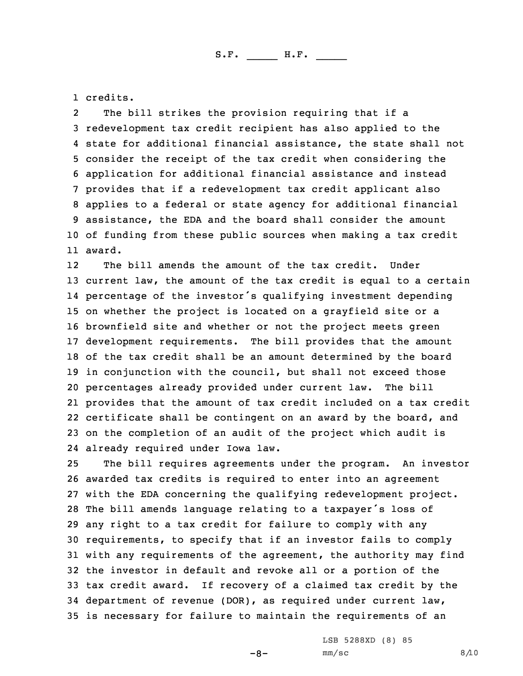1 credits.

2 The bill strikes the provision requiring that if <sup>a</sup> redevelopment tax credit recipient has also applied to the state for additional financial assistance, the state shall not consider the receipt of the tax credit when considering the application for additional financial assistance and instead provides that if <sup>a</sup> redevelopment tax credit applicant also applies to <sup>a</sup> federal or state agency for additional financial assistance, the EDA and the board shall consider the amount of funding from these public sources when making <sup>a</sup> tax credit 11 award.

12The bill amends the amount of the tax credit. Under current law, the amount of the tax credit is equal to <sup>a</sup> certain percentage of the investor's qualifying investment depending on whether the project is located on <sup>a</sup> grayfield site or <sup>a</sup> brownfield site and whether or not the project meets green development requirements. The bill provides that the amount of the tax credit shall be an amount determined by the board in conjunction with the council, but shall not exceed those percentages already provided under current law. The bill provides that the amount of tax credit included on <sup>a</sup> tax credit certificate shall be contingent on an award by the board, and on the completion of an audit of the project which audit is already required under Iowa law.

 The bill requires agreements under the program. An investor awarded tax credits is required to enter into an agreement with the EDA concerning the qualifying redevelopment project. The bill amends language relating to <sup>a</sup> taxpayer's loss of any right to <sup>a</sup> tax credit for failure to comply with any requirements, to specify that if an investor fails to comply with any requirements of the agreement, the authority may find the investor in default and revoke all or <sup>a</sup> portion of the tax credit award. If recovery of <sup>a</sup> claimed tax credit by the department of revenue (DOR), as required under current law, is necessary for failure to maintain the requirements of an

LSB 5288XD (8) 85

 $-8-$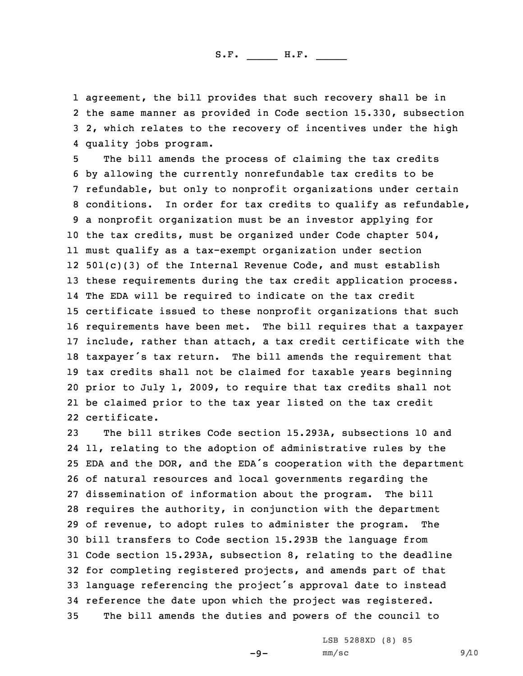agreement, the bill provides that such recovery shall be in the same manner as provided in Code section 15.330, subsection 2, which relates to the recovery of incentives under the high quality jobs program.

 The bill amends the process of claiming the tax credits by allowing the currently nonrefundable tax credits to be refundable, but only to nonprofit organizations under certain conditions. In order for tax credits to qualify as refundable, <sup>a</sup> nonprofit organization must be an investor applying for the tax credits, must be organized under Code chapter 504, must qualify as <sup>a</sup> tax-exempt organization under section 501(c)(3) of the Internal Revenue Code, and must establish these requirements during the tax credit application process. The EDA will be required to indicate on the tax credit certificate issued to these nonprofit organizations that such requirements have been met. The bill requires that <sup>a</sup> taxpayer include, rather than attach, <sup>a</sup> tax credit certificate with the taxpayer's tax return. The bill amends the requirement that tax credits shall not be claimed for taxable years beginning prior to July 1, 2009, to require that tax credits shall not be claimed prior to the tax year listed on the tax credit certificate.

 The bill strikes Code section 15.293A, subsections 10 and 11, relating to the adoption of administrative rules by the EDA and the DOR, and the EDA's cooperation with the department of natural resources and local governments regarding the dissemination of information about the program. The bill requires the authority, in conjunction with the department of revenue, to adopt rules to administer the program. The bill transfers to Code section 15.293B the language from Code section 15.293A, subsection 8, relating to the deadline for completing registered projects, and amends part of that language referencing the project's approval date to instead reference the date upon which the project was registered. The bill amends the duties and powers of the council to

> LSB 5288XD (8) 85  $mm/sc$  9/10

 $-9-$